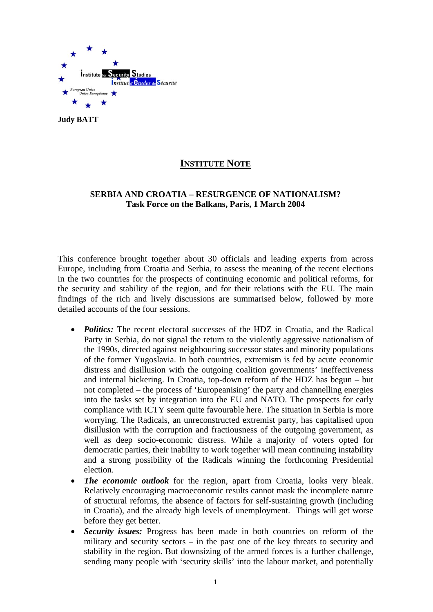

**Judy BATT**

# **INSTITUTE NOTE**

# **SERBIA AND CROATIA – RESURGENCE OF NATIONALISM? Task Force on the Balkans, Paris, 1 March 2004**

This conference brought together about 30 officials and leading experts from across Europe, including from Croatia and Serbia, to assess the meaning of the recent elections in the two countries for the prospects of continuing economic and political reforms, for the security and stability of the region, and for their relations with the EU. The main findings of the rich and lively discussions are summarised below, followed by more detailed accounts of the four sessions.

- *Politics:* The recent electoral successes of the HDZ in Croatia, and the Radical Party in Serbia, do not signal the return to the violently aggressive nationalism of the 1990s, directed against neighbouring successor states and minority populations of the former Yugoslavia. In both countries, extremism is fed by acute economic distress and disillusion with the outgoing coalition governments' ineffectiveness and internal bickering. In Croatia, top-down reform of the HDZ has begun – but not completed – the process of 'Europeanising' the party and channelling energies into the tasks set by integration into the EU and NATO. The prospects for early compliance with ICTY seem quite favourable here. The situation in Serbia is more worrying. The Radicals, an unreconstructed extremist party, has capitalised upon disillusion with the corruption and fractiousness of the outgoing government, as well as deep socio-economic distress. While a majority of voters opted for democratic parties, their inability to work together will mean continuing instability and a strong possibility of the Radicals winning the forthcoming Presidential election.
- *The economic outlook* for the region, apart from Croatia, looks very bleak. Relatively encouraging macroeconomic results cannot mask the incomplete nature of structural reforms, the absence of factors for self-sustaining growth (including in Croatia), and the already high levels of unemployment. Things will get worse before they get better.
- *Security issues:* Progress has been made in both countries on reform of the military and security sectors – in the past one of the key threats to security and stability in the region. But downsizing of the armed forces is a further challenge, sending many people with 'security skills' into the labour market, and potentially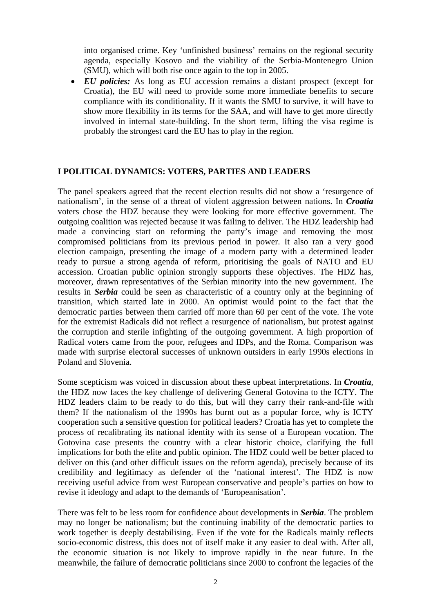into organised crime. Key 'unfinished business' remains on the regional security agenda, especially Kosovo and the viability of the Serbia-Montenegro Union (SMU), which will both rise once again to the top in 2005.

• *EU policies:* As long as EU accession remains a distant prospect (except for Croatia), the EU will need to provide some more immediate benefits to secure compliance with its conditionality. If it wants the SMU to survive, it will have to show more flexibility in its terms for the SAA, and will have to get more directly involved in internal state-building. In the short term, lifting the visa regime is probably the strongest card the EU has to play in the region.

# **I POLITICAL DYNAMICS: VOTERS, PARTIES AND LEADERS**

The panel speakers agreed that the recent election results did not show a 'resurgence of nationalism', in the sense of a threat of violent aggression between nations. In *Croatia* voters chose the HDZ because they were looking for more effective government. The outgoing coalition was rejected because it was failing to deliver. The HDZ leadership had made a convincing start on reforming the party's image and removing the most compromised politicians from its previous period in power. It also ran a very good election campaign, presenting the image of a modern party with a determined leader ready to pursue a strong agenda of reform, prioritising the goals of NATO and EU accession. Croatian public opinion strongly supports these objectives. The HDZ has, moreover, drawn representatives of the Serbian minority into the new government. The results in *Serbia* could be seen as characteristic of a country only at the beginning of transition, which started late in 2000. An optimist would point to the fact that the democratic parties between them carried off more than 60 per cent of the vote. The vote for the extremist Radicals did not reflect a resurgence of nationalism, but protest against the corruption and sterile infighting of the outgoing government. A high proportion of Radical voters came from the poor, refugees and IDPs, and the Roma. Comparison was made with surprise electoral successes of unknown outsiders in early 1990s elections in Poland and Slovenia.

Some scepticism was voiced in discussion about these upbeat interpretations. In *Croatia*, the HDZ now faces the key challenge of delivering General Gotovina to the ICTY. The HDZ leaders claim to be ready to do this, but will they carry their rank-and-file with them? If the nationalism of the 1990s has burnt out as a popular force, why is ICTY cooperation such a sensitive question for political leaders? Croatia has yet to complete the process of recalibrating its national identity with its sense of a European vocation. The Gotovina case presents the country with a clear historic choice, clarifying the full implications for both the elite and public opinion. The HDZ could well be better placed to deliver on this (and other difficult issues on the reform agenda), precisely because of its credibility and legitimacy as defender of the 'national interest'. The HDZ is now receiving useful advice from west European conservative and people's parties on how to revise it ideology and adapt to the demands of 'Europeanisation'.

There was felt to be less room for confidence about developments in *Serbia*. The problem may no longer be nationalism; but the continuing inability of the democratic parties to work together is deeply destabilising. Even if the vote for the Radicals mainly reflects socio-economic distress, this does not of itself make it any easier to deal with. After all, the economic situation is not likely to improve rapidly in the near future. In the meanwhile, the failure of democratic politicians since 2000 to confront the legacies of the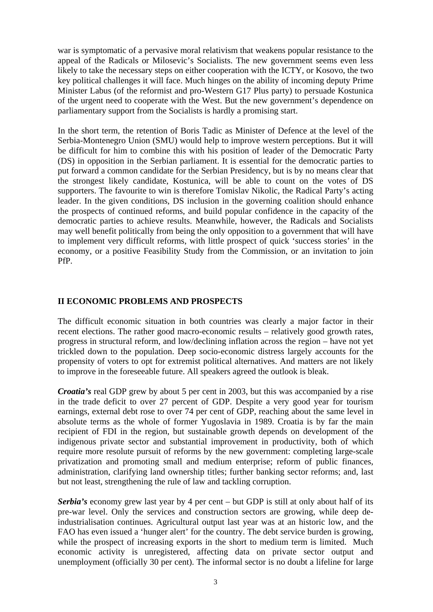war is symptomatic of a pervasive moral relativism that weakens popular resistance to the appeal of the Radicals or Milosevic's Socialists. The new government seems even less likely to take the necessary steps on either cooperation with the ICTY, or Kosovo, the two key political challenges it will face. Much hinges on the ability of incoming deputy Prime Minister Labus (of the reformist and pro-Western G17 Plus party) to persuade Kostunica of the urgent need to cooperate with the West. But the new government's dependence on parliamentary support from the Socialists is hardly a promising start.

In the short term, the retention of Boris Tadic as Minister of Defence at the level of the Serbia-Montenegro Union (SMU) would help to improve western perceptions. But it will be difficult for him to combine this with his position of leader of the Democratic Party (DS) in opposition in the Serbian parliament. It is essential for the democratic parties to put forward a common candidate for the Serbian Presidency, but is by no means clear that the strongest likely candidate, Kostunica, will be able to count on the votes of DS supporters. The favourite to win is therefore Tomislav Nikolic, the Radical Party's acting leader. In the given conditions, DS inclusion in the governing coalition should enhance the prospects of continued reforms, and build popular confidence in the capacity of the democratic parties to achieve results. Meanwhile, however, the Radicals and Socialists may well benefit politically from being the only opposition to a government that will have to implement very difficult reforms, with little prospect of quick 'success stories' in the economy, or a positive Feasibility Study from the Commission, or an invitation to join PfP.

## **II ECONOMIC PROBLEMS AND PROSPECTS**

The difficult economic situation in both countries was clearly a major factor in their recent elections. The rather good macro-economic results – relatively good growth rates, progress in structural reform, and low/declining inflation across the region – have not yet trickled down to the population. Deep socio-economic distress largely accounts for the propensity of voters to opt for extremist political alternatives. And matters are not likely to improve in the foreseeable future. All speakers agreed the outlook is bleak.

*Croatia's* real GDP grew by about 5 per cent in 2003, but this was accompanied by a rise in the trade deficit to over 27 percent of GDP. Despite a very good year for tourism earnings, external debt rose to over 74 per cent of GDP, reaching about the same level in absolute terms as the whole of former Yugoslavia in 1989. Croatia is by far the main recipient of FDI in the region, but sustainable growth depends on development of the indigenous private sector and substantial improvement in productivity, both of which require more resolute pursuit of reforms by the new government: completing large-scale privatization and promoting small and medium enterprise; reform of public finances, administration, clarifying land ownership titles; further banking sector reforms; and, last but not least, strengthening the rule of law and tackling corruption.

*Serbia's* economy grew last year by 4 per cent – but GDP is still at only about half of its pre-war level. Only the services and construction sectors are growing, while deep deindustrialisation continues. Agricultural output last year was at an historic low, and the FAO has even issued a 'hunger alert' for the country. The debt service burden is growing, while the prospect of increasing exports in the short to medium term is limited. Much economic activity is unregistered, affecting data on private sector output and unemployment (officially 30 per cent). The informal sector is no doubt a lifeline for large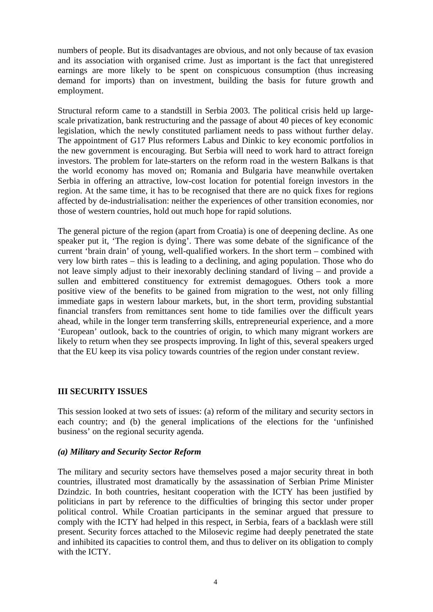numbers of people. But its disadvantages are obvious, and not only because of tax evasion and its association with organised crime. Just as important is the fact that unregistered earnings are more likely to be spent on conspicuous consumption (thus increasing demand for imports) than on investment, building the basis for future growth and employment.

Structural reform came to a standstill in Serbia 2003. The political crisis held up largescale privatization, bank restructuring and the passage of about 40 pieces of key economic legislation, which the newly constituted parliament needs to pass without further delay. The appointment of G17 Plus reformers Labus and Dinkic to key economic portfolios in the new government is encouraging. But Serbia will need to work hard to attract foreign investors. The problem for late-starters on the reform road in the western Balkans is that the world economy has moved on; Romania and Bulgaria have meanwhile overtaken Serbia in offering an attractive, low-cost location for potential foreign investors in the region. At the same time, it has to be recognised that there are no quick fixes for regions affected by de-industrialisation: neither the experiences of other transition economies, nor those of western countries, hold out much hope for rapid solutions.

The general picture of the region (apart from Croatia) is one of deepening decline. As one speaker put it, 'The region is dying'. There was some debate of the significance of the current 'brain drain' of young, well-qualified workers. In the short term – combined with very low birth rates – this is leading to a declining, and aging population. Those who do not leave simply adjust to their inexorably declining standard of living – and provide a sullen and embittered constituency for extremist demagogues. Others took a more positive view of the benefits to be gained from migration to the west, not only filling immediate gaps in western labour markets, but, in the short term, providing substantial financial transfers from remittances sent home to tide families over the difficult years ahead, while in the longer term transferring skills, entrepreneurial experience, and a more 'European' outlook, back to the countries of origin, to which many migrant workers are likely to return when they see prospects improving. In light of this, several speakers urged that the EU keep its visa policy towards countries of the region under constant review.

## **III SECURITY ISSUES**

This session looked at two sets of issues: (a) reform of the military and security sectors in each country; and (b) the general implications of the elections for the 'unfinished business' on the regional security agenda.

#### *(a) Military and Security Sector Reform*

The military and security sectors have themselves posed a major security threat in both countries, illustrated most dramatically by the assassination of Serbian Prime Minister Dzindzic. In both countries, hesitant cooperation with the ICTY has been justified by politicians in part by reference to the difficulties of bringing this sector under proper political control. While Croatian participants in the seminar argued that pressure to comply with the ICTY had helped in this respect, in Serbia, fears of a backlash were still present. Security forces attached to the Milosevic regime had deeply penetrated the state and inhibited its capacities to control them, and thus to deliver on its obligation to comply with the ICTY.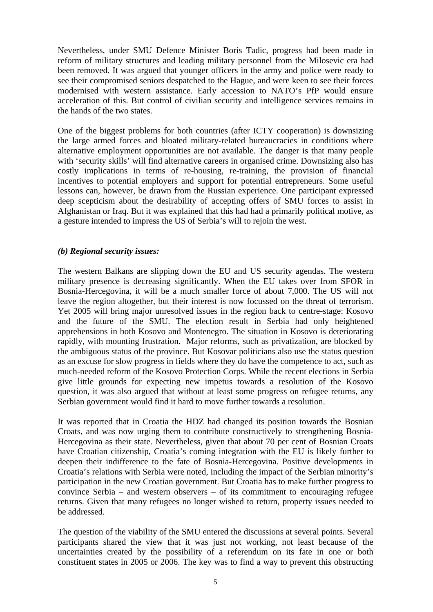Nevertheless, under SMU Defence Minister Boris Tadic, progress had been made in reform of military structures and leading military personnel from the Milosevic era had been removed. It was argued that younger officers in the army and police were ready to see their compromised seniors despatched to the Hague, and were keen to see their forces modernised with western assistance. Early accession to NATO's PfP would ensure acceleration of this. But control of civilian security and intelligence services remains in the hands of the two states.

One of the biggest problems for both countries (after ICTY cooperation) is downsizing the large armed forces and bloated military-related bureaucracies in conditions where alternative employment opportunities are not available. The danger is that many people with 'security skills' will find alternative careers in organised crime. Downsizing also has costly implications in terms of re-housing, re-training, the provision of financial incentives to potential employers and support for potential entrepreneurs. Some useful lessons can, however, be drawn from the Russian experience. One participant expressed deep scepticism about the desirability of accepting offers of SMU forces to assist in Afghanistan or Iraq. But it was explained that this had had a primarily political motive, as a gesture intended to impress the US of Serbia's will to rejoin the west.

# *(b) Regional security issues:*

The western Balkans are slipping down the EU and US security agendas. The western military presence is decreasing significantly. When the EU takes over from SFOR in Bosnia-Hercegovina, it will be a much smaller force of about 7,000. The US will not leave the region altogether, but their interest is now focussed on the threat of terrorism. Yet 2005 will bring major unresolved issues in the region back to centre-stage: Kosovo and the future of the SMU. The election result in Serbia had only heightened apprehensions in both Kosovo and Montenegro. The situation in Kosovo is deteriorating rapidly, with mounting frustration. Major reforms, such as privatization, are blocked by the ambiguous status of the province. But Kosovar politicians also use the status question as an excuse for slow progress in fields where they do have the competence to act, such as much-needed reform of the Kosovo Protection Corps. While the recent elections in Serbia give little grounds for expecting new impetus towards a resolution of the Kosovo question, it was also argued that without at least some progress on refugee returns, any Serbian government would find it hard to move further towards a resolution.

It was reported that in Croatia the HDZ had changed its position towards the Bosnian Croats, and was now urging them to contribute constructively to strengthening Bosnia-Hercegovina as their state. Nevertheless, given that about 70 per cent of Bosnian Croats have Croatian citizenship, Croatia's coming integration with the EU is likely further to deepen their indifference to the fate of Bosnia-Hercegovina. Positive developments in Croatia's relations with Serbia were noted, including the impact of the Serbian minority's participation in the new Croatian government. But Croatia has to make further progress to convince Serbia – and western observers – of its commitment to encouraging refugee returns. Given that many refugees no longer wished to return, property issues needed to be addressed.

The question of the viability of the SMU entered the discussions at several points. Several participants shared the view that it was just not working, not least because of the uncertainties created by the possibility of a referendum on its fate in one or both constituent states in 2005 or 2006. The key was to find a way to prevent this obstructing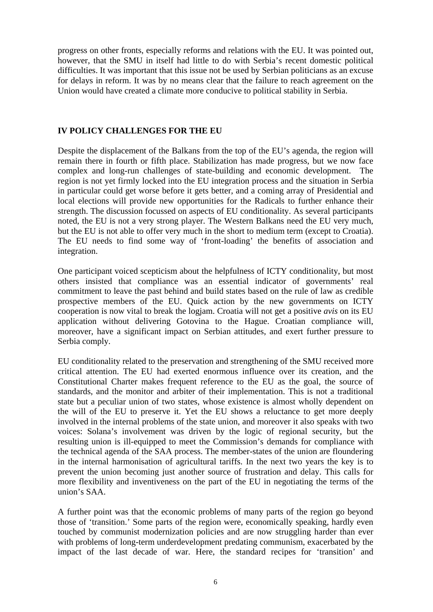progress on other fronts, especially reforms and relations with the EU. It was pointed out, however, that the SMU in itself had little to do with Serbia's recent domestic political difficulties. It was important that this issue not be used by Serbian politicians as an excuse for delays in reform. It was by no means clear that the failure to reach agreement on the Union would have created a climate more conducive to political stability in Serbia.

## **IV POLICY CHALLENGES FOR THE EU**

Despite the displacement of the Balkans from the top of the EU's agenda, the region will remain there in fourth or fifth place. Stabilization has made progress, but we now face complex and long-run challenges of state-building and economic development. The region is not yet firmly locked into the EU integration process and the situation in Serbia in particular could get worse before it gets better, and a coming array of Presidential and local elections will provide new opportunities for the Radicals to further enhance their strength. The discussion focussed on aspects of EU conditionality. As several participants noted, the EU is not a very strong player. The Western Balkans need the EU very much, but the EU is not able to offer very much in the short to medium term (except to Croatia). The EU needs to find some way of 'front-loading' the benefits of association and integration.

One participant voiced scepticism about the helpfulness of ICTY conditionality, but most others insisted that compliance was an essential indicator of governments' real commitment to leave the past behind and build states based on the rule of law as credible prospective members of the EU. Quick action by the new governments on ICTY cooperation is now vital to break the logjam. Croatia will not get a positive *avis* on its EU application without delivering Gotovina to the Hague. Croatian compliance will, moreover, have a significant impact on Serbian attitudes, and exert further pressure to Serbia comply.

EU conditionality related to the preservation and strengthening of the SMU received more critical attention. The EU had exerted enormous influence over its creation, and the Constitutional Charter makes frequent reference to the EU as the goal, the source of standards, and the monitor and arbiter of their implementation. This is not a traditional state but a peculiar union of two states, whose existence is almost wholly dependent on the will of the EU to preserve it. Yet the EU shows a reluctance to get more deeply involved in the internal problems of the state union, and moreover it also speaks with two voices: Solana's involvement was driven by the logic of regional security, but the resulting union is ill-equipped to meet the Commission's demands for compliance with the technical agenda of the SAA process. The member-states of the union are floundering in the internal harmonisation of agricultural tariffs. In the next two years the key is to prevent the union becoming just another source of frustration and delay. This calls for more flexibility and inventiveness on the part of the EU in negotiating the terms of the union's SAA.

A further point was that the economic problems of many parts of the region go beyond those of 'transition.' Some parts of the region were, economically speaking, hardly even touched by communist modernization policies and are now struggling harder than ever with problems of long-term underdevelopment predating communism, exacerbated by the impact of the last decade of war. Here, the standard recipes for 'transition' and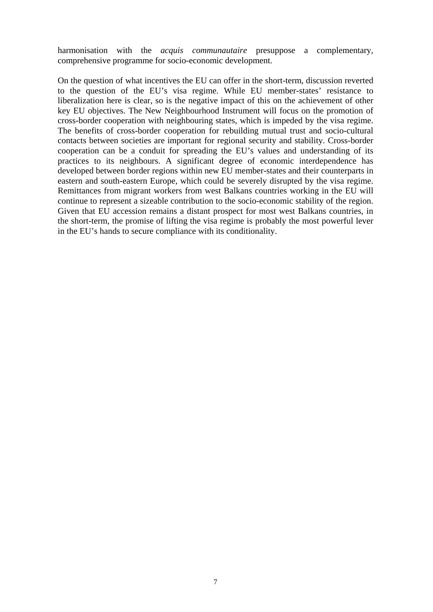harmonisation with the *acquis communautaire* presuppose a complementary, comprehensive programme for socio-economic development.

On the question of what incentives the EU can offer in the short-term, discussion reverted to the question of the EU's visa regime. While EU member-states' resistance to liberalization here is clear, so is the negative impact of this on the achievement of other key EU objectives. The New Neighbourhood Instrument will focus on the promotion of cross-border cooperation with neighbouring states, which is impeded by the visa regime. The benefits of cross-border cooperation for rebuilding mutual trust and socio-cultural contacts between societies are important for regional security and stability. Cross-border cooperation can be a conduit for spreading the EU's values and understanding of its practices to its neighbours. A significant degree of economic interdependence has developed between border regions within new EU member-states and their counterparts in eastern and south-eastern Europe, which could be severely disrupted by the visa regime. Remittances from migrant workers from west Balkans countries working in the EU will continue to represent a sizeable contribution to the socio-economic stability of the region. Given that EU accession remains a distant prospect for most west Balkans countries, in the short-term, the promise of lifting the visa regime is probably the most powerful lever in the EU's hands to secure compliance with its conditionality.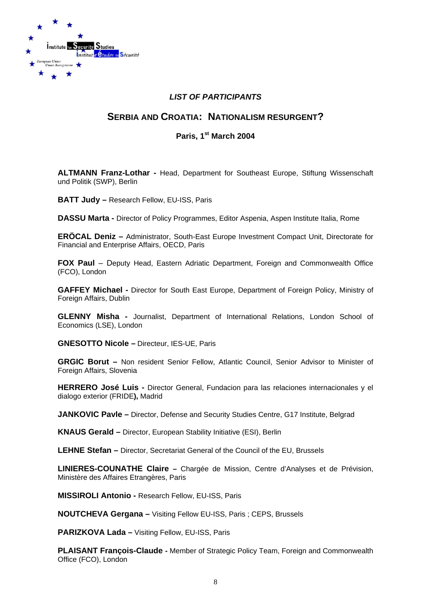

# *LIST OF PARTICIPANTS*

# **SERBIA AND CROATIA: NATIONALISM RESURGENT?**

# **Paris, 1st March 2004**

**ALTMANN Franz-Lothar -** Head, Department for Southeast Europe, Stiftung Wissenschaft und Politik (SWP), Berlin

**BATT Judy –** Research Fellow, EU-ISS, Paris

**DASSU Marta -** Director of Policy Programmes, Editor Aspenia, Aspen Institute Italia, Rome

**ERÖCAL Deniz –** Administrator, South-East Europe Investment Compact Unit, Directorate for Financial and Enterprise Affairs, OECD, Paris

**FOX Paul** – Deputy Head, Eastern Adriatic Department, Foreign and Commonwealth Office (FCO), London

**GAFFEY Michael -** Director for South East Europe, Department of Foreign Policy, Ministry of Foreign Affairs, Dublin

**GLENNY Misha -** Journalist, Department of International Relations, London School of Economics (LSE), London

**GNESOTTO Nicole –** Directeur, IES-UE, Paris

**GRGIC Borut –** Non resident Senior Fellow, Atlantic Council, Senior Advisor to Minister of Foreign Affairs, Slovenia

**HERRERO José Luis -** Director General, Fundacion para las relaciones internacionales y el dialogo exterior (FRIDE**),** Madrid

**JANKOVIC Pavle –** Director, Defense and Security Studies Centre, G17 Institute, Belgrad

**KNAUS Gerald –** Director, European Stability Initiative (ESI), Berlin

**LEHNE Stefan –** Director, Secretariat General of the Council of the EU, Brussels

**LINIERES-COUNATHE Claire –** Chargée de Mission, Centre d'Analyses et de Prévision, Ministère des Affaires Etrangères, Paris

**MISSIROLI Antonio -** Research Fellow, EU-ISS, Paris

**NOUTCHEVA Gergana –** Visiting Fellow EU-ISS, Paris ; CEPS, Brussels

**PARIZKOVA Lada –** Visiting Fellow, EU-ISS, Paris

**PLAISANT François-Claude -** Member of Strategic Policy Team, Foreign and Commonwealth Office (FCO), London